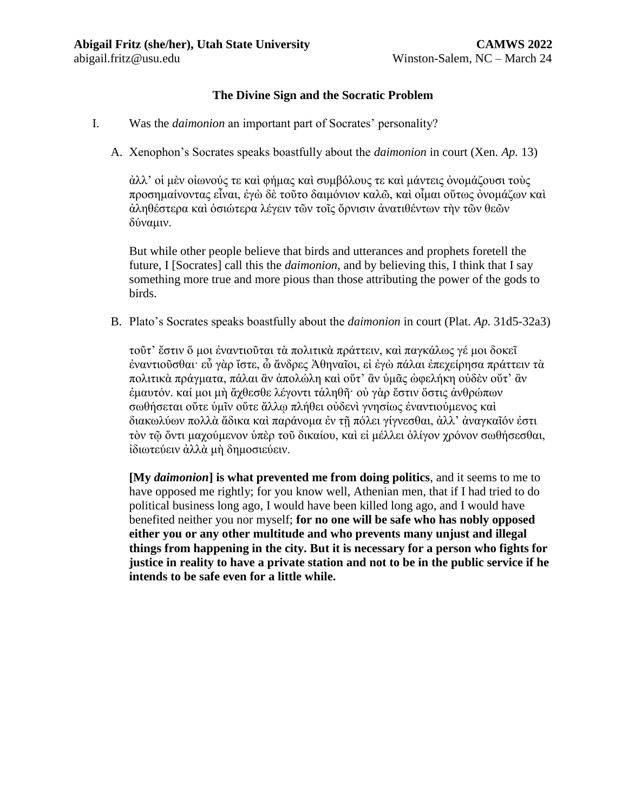## **The Divine Sign and the Socratic Problem**

- I. Was the *daimonion* an important part of Socrates' personality?
	- A. Xenophon's Socrates speaks boastfully about the *daimonion* in court (Xen. *Ap.* 13)

ἀλλ' οἱ μὲν οἰωνούς τε καὶ φήμας καὶ συμβόλους τε καὶ μάντεις ὀνομάζουσι τοὺς προσημαίνοντας εἶναι, ἐγὼ δὲ τοῦτο δαιμόνιον καλῶ, καὶ οἶμαι οὕτως ὀνομάζων καὶ ἀληθέστερα καὶ ὁσιώτερα λέγειν τῶν τοῖς ὄρνισιν ἀνατιθέντων τὴν τῶν θεῶν δύναμιν.

But while other people believe that birds and utterances and prophets foretell the future, I [Socrates] call this the *daimonion*, and by believing this, I think that I say something more true and more pious than those attributing the power of the gods to birds.

B. Plato's Socrates speaks boastfully about the *daimonion* in court (Plat. *Ap.* 31d5-32a3)

τοῦτ' ἔστιν ὅ μοι ἐναντιοῦται τὰ πολιτικὰ πράττειν, καὶ παγκάλως γέ μοι δοκεῖ ἐναντιοῦσθαι· εὖ γὰρ ἴστε, ὦ ἄνδρες Ἀθηναῖοι, εἰ ἐγὼ πάλαι ἐπεχείρησα πράττειν τὰ πολιτικὰ πράγματα, πάλαι ἂν ἀπολώλη καὶ οὔτ' ἂν ὑμᾶς ὠφελήκη οὐδὲν οὔτ' ἂν ἐμαυτόν. καί μοι μὴ ἄχθεσθε λέγοντι τἁληθῆ· οὐ γὰρ ἔστιν ὅστις ἀνθρώπων σωθήσεται οὔτε ὑμῖν οὔτε ἄλλῳ πλήθει οὐδενὶ γνησίως ἐναντιούμενος καὶ διακωλύων πολλὰ ἄδικα καὶ παράνομα ἐν τῇ πόλει γίγνεσθαι, ἀλλ' ἀναγκαῖόν ἐστι τὸν τῷ ὄντι μαχούμενον ὑπὲρ τοῦ δικαίου, καὶ εἰ μέλλει ὀλίγον χρόνον σωθήσεσθαι, ἰδιωτεύειν ἀλλὰ μὴ δημοσιεύειν.

**[My** *daimonion***] is what prevented me from doing politics**, and it seems to me to have opposed me rightly; for you know well, Athenian men, that if I had tried to do political business long ago, I would have been killed long ago, and I would have benefited neither you nor myself; **for no one will be safe who has nobly opposed either you or any other multitude and who prevents many unjust and illegal things from happening in the city. But it is necessary for a person who fights for justice in reality to have a private station and not to be in the public service if he intends to be safe even for a little while.**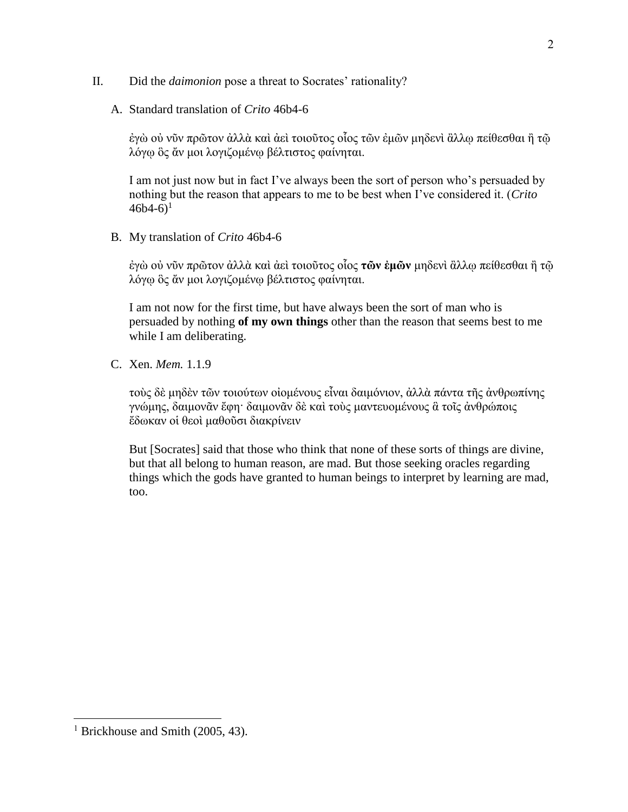- II. Did the *daimonion* pose a threat to Socrates' rationality?
	- A. Standard translation of *Crito* 46b4-6

ἐγὼ οὐ νῦν πρῶτον ἀλλὰ καὶ ἀεὶ τοιοῦτος οἷος τῶν ἐμῶν μηδενὶ ἂλλῳ πείθεσθαι ἢ τῷ λόγῳ ὃς ἄν μοι λογιζομένῳ βέλτιστος φαίνηται.

I am not just now but in fact I've always been the sort of person who's persuaded by nothing but the reason that appears to me to be best when I've considered it. (*Crito*  $46b4-6$ <sup>1</sup>

B. My translation of *Crito* 46b4-6

ἐγὼ οὐ νῦν πρῶτον ἀλλὰ καὶ ἀεὶ τοιοῦτος οἷος **τῶν ἐμῶν** μηδενὶ ἂλλῳ πείθεσθαι ἢ τῷ λόγῳ ὃς ἄν μοι λογιζομένῳ βέλτιστος φαίνηται.

I am not now for the first time, but have always been the sort of man who is persuaded by nothing **of my own things** other than the reason that seems best to me while I am deliberating.

C. Xen. *Mem.* 1.1.9

τοὺς δὲ μηδὲν τῶν τοιούτων οἰομένους εἶναι δαιμόνιον, ἀλλὰ πάντα τῆς ἀνθρωπίνης γνώμης, δαιμονᾶν ἔφη· δαιμονᾶν δὲ καὶ τοὺς μαντευομένους ἃ τοῖς ἀνθρώποις ἔδωκαν οἱ θεοὶ μαθοῦσι διακρίνειν

But [Socrates] said that those who think that none of these sorts of things are divine, but that all belong to human reason, are mad. But those seeking oracles regarding things which the gods have granted to human beings to interpret by learning are mad, too.

 $\overline{a}$ 

<sup>&</sup>lt;sup>1</sup> Brickhouse and Smith (2005, 43).